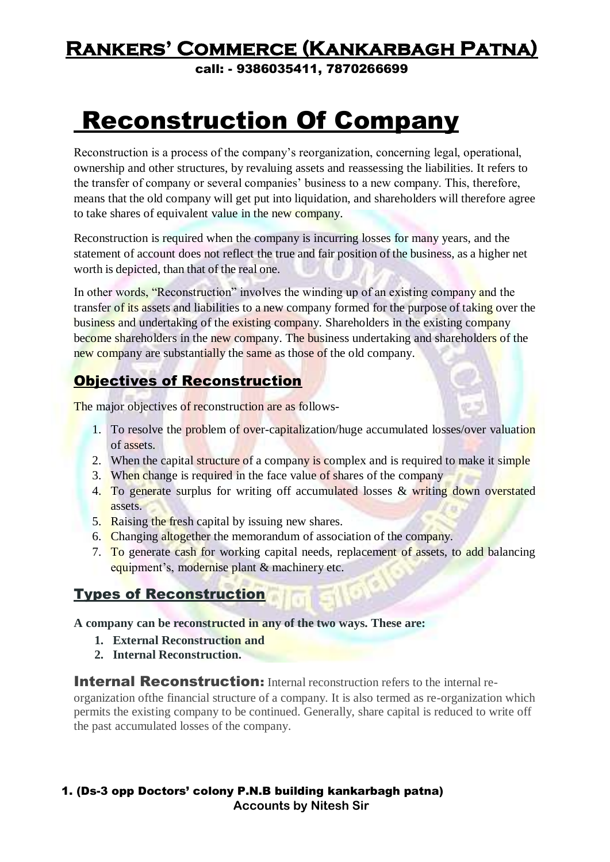call: - 9386035411, 7870266699

# Reconstruction Of Company

Reconstruction is a process of the company's reorganization, concerning legal, operational, ownership and other structures, by revaluing assets and reassessing the liabilities. It refers to the transfer of company or several companies' business to a new company. This, therefore, means that the old company will get put into liquidation, and shareholders will therefore agree to take shares of equivalent value in the new company.

Reconstruction is required when the company is incurring losses for many years, and the statement of account does not reflect the true and fair position of the business, as a higher net worth is depicted, than that of the real one.

In other words, "Reconstruction" involves the winding up of an existing company and the transfer of its assets and liabilities to a new company formed for the purpose of taking over the business and undertaking of the existing company. Shareholders in the existing company become shareholders in the new company. The business undertaking and shareholders of the new company are substantially the same as those of the old company.

#### Objectives of Reconstruction

The major objectives of reconstruction are as follows-

- 1. To resolve the problem of over-capitalization/huge accumulated losses/over valuation of assets.
- 2. When the capital structure of a company is complex and is required to make it simple
- 3. When change is required in the face value of shares of the company
- 4. To generate surplus for writing off accumulated losses & writing down overstated assets.
- 5. Raising the fresh capital by issuing new shares.
- 6. Changing altogether the memorandum of association of the company.
- 7. To generate cash for working capital needs, replacement of assets, to add balancing equipment's, modernise plant & machinery etc.

#### Types of Reconstruction

**A company can be reconstructed in any of the two ways. These are:**

- **1. External Reconstruction and**
- **2. Internal Reconstruction.**

**Internal Reconstruction:** Internal reconstruction refers to the internal re-

organization ofthe financial structure of a company. It is also termed as re-organization which permits the existing company to be continued. Generally, share capital is reduced to write off the past accumulated losses of the company.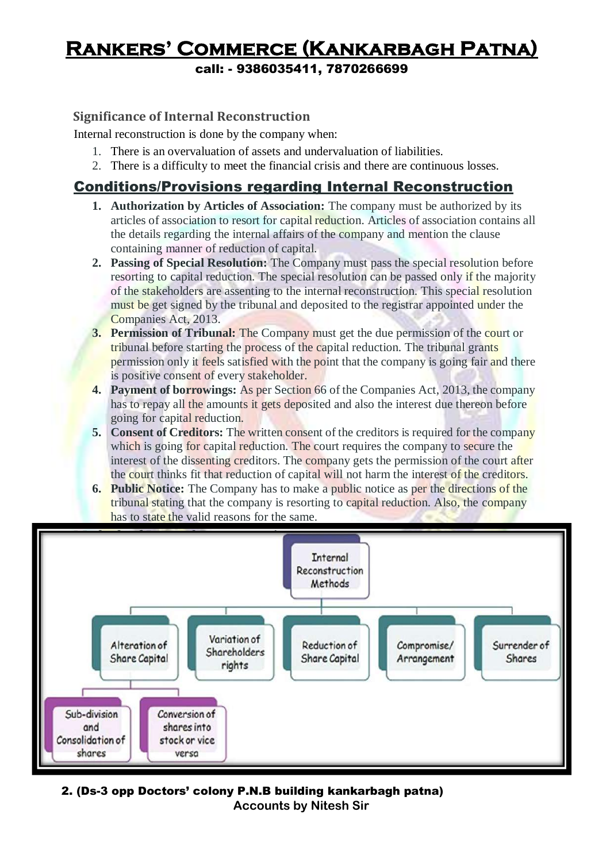call: - 9386035411, 7870266699

#### **Significance of Internal Reconstruction**

Internal reconstruction is done by the company when:

- 1. There is an overvaluation of assets and undervaluation of liabilities.
- 2. There is a difficulty to meet the financial crisis and there are continuous losses.

#### Conditions/Provisions regarding Internal Reconstruction

- **1. Authorization by Articles of Association:** The company must be authorized by its articles of association to resort for capital reduction. Articles of association contains all the details regarding the internal affairs of the company and mention the clause containing manner of reduction of capital.
- **2. Passing of Special Resolution:** The Company must pass the special resolution before resorting to capital reduction. The special resolution can be passed only if the majority of the stakeholders are assenting to the internal reconstruction. This special resolution must be get signed by the tribunal and deposited to the registrar appointed under the Companies Act, 2013.
- **3. Permission of Tribunal:** The Company must get the due permission of the court or tribunal before starting the process of the capital reduction. The tribunal grants permission only it feels satisfied with the point that the company is going fair and there is positive consent of every stakeholder.
- **4. Payment of borrowings:** As per Section 66 of the Companies Act, 2013, the company has to repay all the amounts it gets deposited and also the interest due thereon before going for capital reduction.
- **5. Consent of Creditors:** The written consent of the creditors is required for the company which is going for capital reduction. The court requires the company to secure the interest of the dissenting creditors. The company gets the permission of the court after the court thinks fit that reduction of capital will not harm the interest of the creditors.
- **6. Public Notice:** The Company has to make a public notice as per the directions of the tribunal stating that the company is resorting to capital reduction. Also, the company has to state the valid reasons for the same.

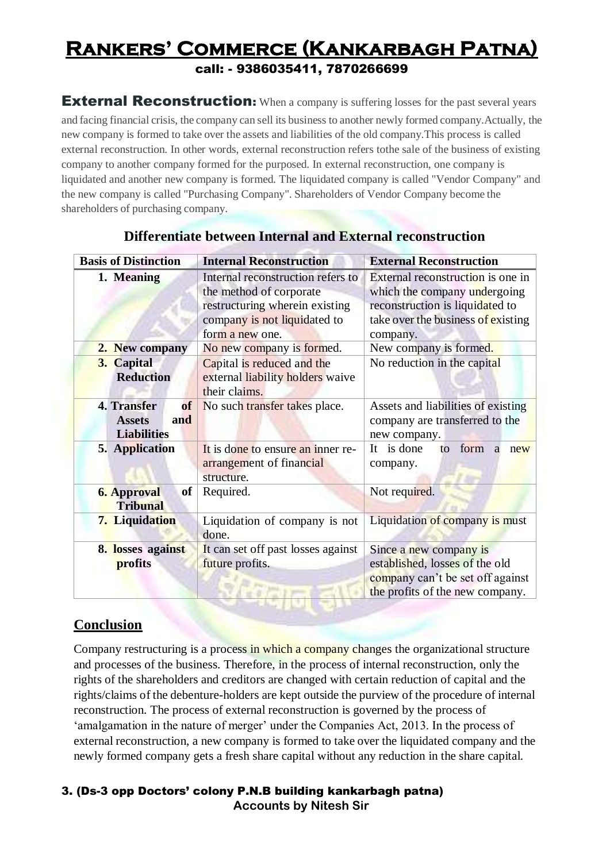#### **Rankers' Commerce (Kankarbagh Patna)** call: - 9386035411, 7870266699

**External Reconstruction:** When a company is suffering losses for the past several years and facing financial crisis, the company can sell its business to another newly formed company.Actually, the new company is formed to take over the assets and liabilities of the old company.This process is called external reconstruction. In other words, external reconstruction refers tothe sale of the business of existing company to another company formed for the purposed. In external reconstruction, one company is liquidated and another new company is formed. The liquidated company is called "Vendor Company" and the new company is called "Purchasing Company". Shareholders of Vendor Company become the shareholders of purchasing company.

| <b>Basis of Distinction</b>                            | <b>Internal Reconstruction</b>                                 | <b>External Reconstruction</b>       |  |  |
|--------------------------------------------------------|----------------------------------------------------------------|--------------------------------------|--|--|
| 1. Meaning                                             | Internal reconstruction refers to                              | External reconstruction is one in    |  |  |
|                                                        | the method of corporate                                        | which the company undergoing         |  |  |
|                                                        | restructuring wherein existing                                 | reconstruction is liquidated to      |  |  |
|                                                        | company is not liquidated to                                   | take over the business of existing   |  |  |
|                                                        | form a new one.                                                | company.                             |  |  |
| 2. New company                                         | No new company is formed.                                      | New company is formed.               |  |  |
| 3. Capital<br><b>Reduction</b>                         | Capital is reduced and the<br>external liability holders waive | No reduction in the capital          |  |  |
|                                                        | their claims.                                                  |                                      |  |  |
| 4. Transfer<br><b>of</b>                               | No such transfer takes place.                                  | Assets and liabilities of existing   |  |  |
| <b>Assets</b><br>and                                   |                                                                | company are transferred to the       |  |  |
| <b>Liabilities</b>                                     |                                                                | new company.                         |  |  |
| 5. Application                                         | It is done to ensure an inner re-                              | It is done<br>form<br>to<br>a<br>new |  |  |
|                                                        | arrangement of financial                                       | company.                             |  |  |
|                                                        | structure.                                                     |                                      |  |  |
| <b>6. Approval</b><br><sub>of</sub><br><b>Tribunal</b> | Required.                                                      | Not required.                        |  |  |
| 7. Liquidation                                         | Liquidation of company is not                                  | Liquidation of company is must       |  |  |
|                                                        | done.                                                          |                                      |  |  |
| 8. losses against                                      | It can set off past losses against                             | Since a new company is               |  |  |
| profits                                                | future profits.                                                | established, losses of the old       |  |  |
|                                                        |                                                                | company can't be set off against     |  |  |
|                                                        |                                                                | the profits of the new company.      |  |  |
|                                                        |                                                                |                                      |  |  |

#### **Differentiate between Internal and External reconstruction**

#### **Conclusion**

Company restructuring is a process in which a company changes the organizational structure and processes of the business. Therefore, in the process of internal reconstruction, only the rights of the shareholders and creditors are changed with certain reduction of capital and the rights/claims of the debenture-holders are kept outside the purview of the procedure of internal reconstruction. The process of external reconstruction is governed by the process of 'amalgamation in the nature of merger' under the Companies Act, 2013. In the process of external reconstruction, a new company is formed to take over the liquidated company and the newly formed company gets a fresh share capital without any reduction in the share capital.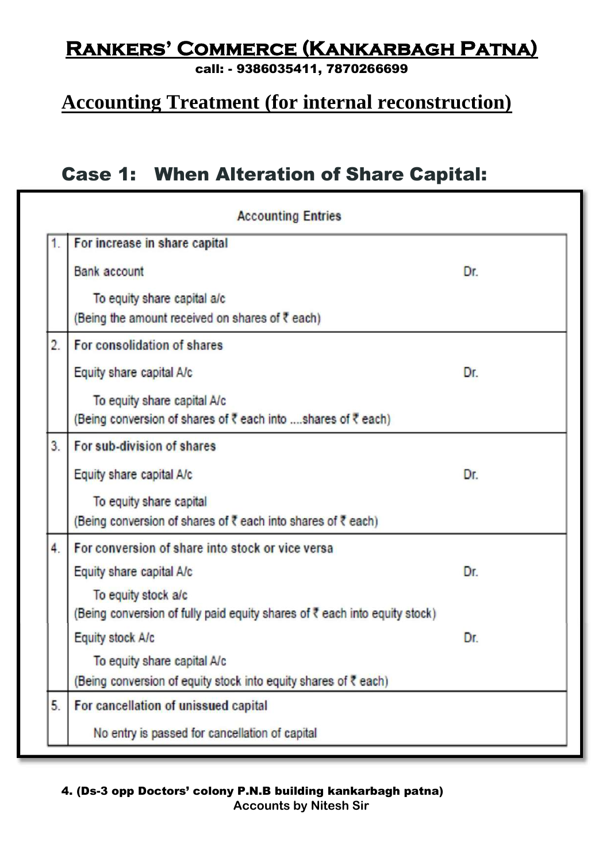call: - 9386035411, 7870266699

### **Accounting Treatment (for internal reconstruction)**

### Case 1: When Alteration of Share Capital:

|    | <b>Accounting Entries</b>                                                                         |     |  |
|----|---------------------------------------------------------------------------------------------------|-----|--|
| 1. | For increase in share capital                                                                     |     |  |
|    | <b>Bank account</b>                                                                               | Dr. |  |
|    | To equity share capital a/c<br>(Being the amount received on shares of ₹ each)                    |     |  |
| 2. | For consolidation of shares                                                                       |     |  |
|    | Equity share capital A/c                                                                          | Dr. |  |
|    | To equity share capital A/c<br>(Being conversion of shares of ₹ each into shares of ₹ each)       |     |  |
| 3. | For sub-division of shares                                                                        |     |  |
|    | Equity share capital A/c                                                                          | Dr. |  |
|    | To equity share capital<br>(Being conversion of shares of ₹ each into shares of ₹ each)           |     |  |
| 4. | For conversion of share into stock or vice versa                                                  |     |  |
|    | Equity share capital A/c                                                                          | Dr. |  |
|    | To equity stock a/c<br>(Being conversion of fully paid equity shares of ₹ each into equity stock) |     |  |
|    | Equity stock A/c                                                                                  | Dr. |  |
|    | To equity share capital A/c                                                                       |     |  |
|    | (Being conversion of equity stock into equity shares of ₹ each)                                   |     |  |
| 5. | For cancellation of unissued capital                                                              |     |  |
|    | No entry is passed for cancellation of capital                                                    |     |  |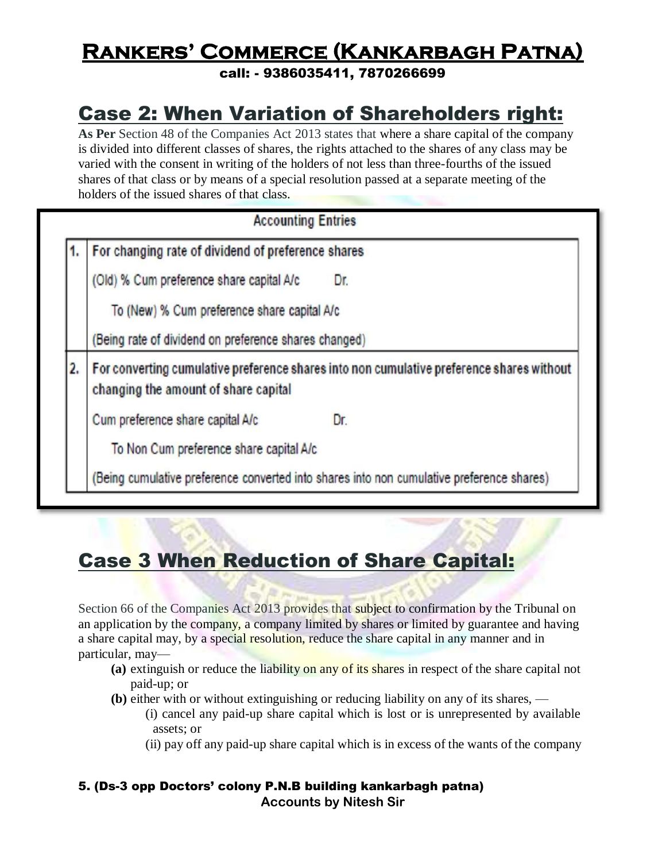call: - 9386035411, 7870266699

### Case 2: When Variation of Shareholders right:

**As Per** Section 48 of the Companies Act 2013 states that where a share capital of the company is divided into different classes of shares, the rights attached to the shares of any class may be varied with the consent in writing of the holders of not less than three-fourths of the issued shares of that class or by means of a special resolution passed at a separate meeting of the holders of the issued shares of that class.

#### **Accounting Entries**

For changing rate of dividend of preference shares

(Old) % Cum preference share capital A/c Dr.

To (New) % Cum preference share capital A/c

(Being rate of dividend on preference shares changed)

 $2.$ For converting cumulative preference shares into non cumulative preference shares without changing the amount of share capital

Cum preference share capital A/c Dr.

To Non Cum preference share capital A/c

(Being cumulative preference converted into shares into non cumulative preference shares)

### Case 3 When Reduction of Share Capital:

Section 66 of the Companies Act 2013 provides that subject to confirmation by the Tribunal on an application by the company, a company limited by shares or limited by guarantee and having a share capital may, by a special resolution, reduce the share capital in any manner and in particular, may—

- **(a)** extinguish or reduce the liability on any of its shares in respect of the share capital not paid-up; or
- **(b)** either with or without extinguishing or reducing liability on any of its shares,
	- (i) cancel any paid-up share capital which is lost or is unrepresented by available assets; or
	- (ii) pay off any paid-up share capital which is in excess of the wants of the company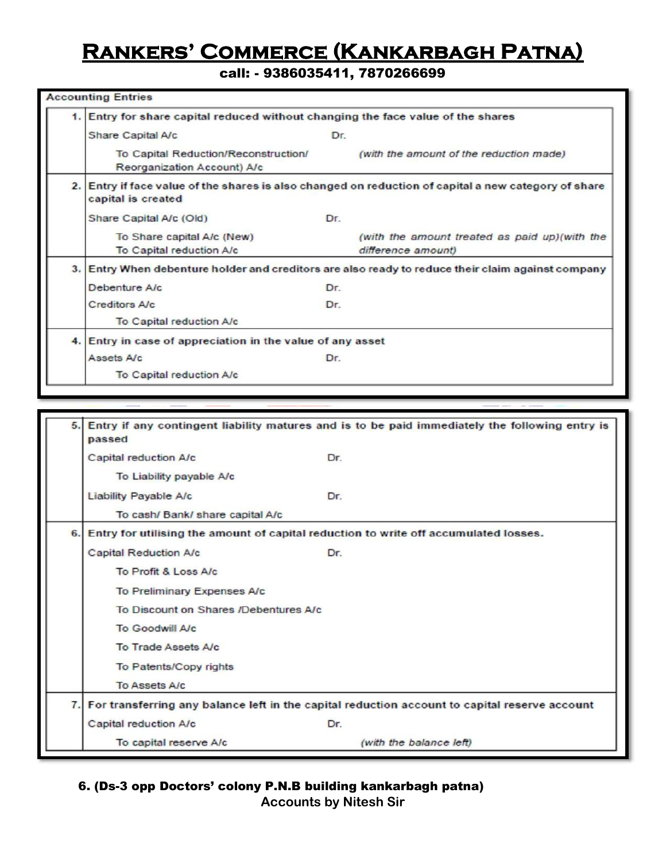call: - 9386035411, 7870266699

|  | 1. Entry for share capital reduced without changing the face value of the shares                                           |     |                                                                      |  |  |
|--|----------------------------------------------------------------------------------------------------------------------------|-----|----------------------------------------------------------------------|--|--|
|  | Share Capital A/c                                                                                                          | Dr. |                                                                      |  |  |
|  | To Capital Reduction/Reconstruction/<br>Reorganization Account) A/c                                                        |     | (with the amount of the reduction made)                              |  |  |
|  | 2. Entry if face value of the shares is also changed on reduction of capital a new category of share<br>capital is created |     |                                                                      |  |  |
|  | Share Capital A/c (Old)                                                                                                    | Dr. |                                                                      |  |  |
|  | To Share capital A/c (New)<br>To Capital reduction A/c                                                                     |     | (with the amount treated as paid up) (with the<br>difference amount) |  |  |
|  | 3. Entry When debenture holder and creditors are also ready to reduce their claim against company                          |     |                                                                      |  |  |
|  | Debenture A/c                                                                                                              | Dr. |                                                                      |  |  |
|  | <b>Creditors A/c</b>                                                                                                       | Dr. |                                                                      |  |  |
|  | To Capital reduction A/c                                                                                                   |     |                                                                      |  |  |
|  | 4. Entry in case of appreciation in the value of any asset                                                                 |     |                                                                      |  |  |
|  | Assets A/c                                                                                                                 | Dr. |                                                                      |  |  |
|  |                                                                                                                            |     |                                                                      |  |  |

| 5.  | Entry if any contingent liability matures and is to be paid immediately the following entry is<br>passed |                         |  |  |
|-----|----------------------------------------------------------------------------------------------------------|-------------------------|--|--|
|     | Capital reduction A/c                                                                                    | Dr.                     |  |  |
|     | To Liability payable A/c                                                                                 |                         |  |  |
|     | Liability Payable A/c                                                                                    | Dr.                     |  |  |
|     | To cash/ Bank/ share capital A/c                                                                         |                         |  |  |
| 6.1 | Entry for utilising the amount of capital reduction to write off accumulated losses.                     |                         |  |  |
|     | <b>Capital Reduction A/c</b>                                                                             | Dr.                     |  |  |
|     | To Profit & Loss A/c                                                                                     |                         |  |  |
|     | <b>To Preliminary Expenses A/c</b>                                                                       |                         |  |  |
|     | To Discount on Shares /Debentures A/c                                                                    |                         |  |  |
|     | To Goodwill A/c                                                                                          |                         |  |  |
|     | To Trade Assets A/c                                                                                      |                         |  |  |
|     | To Patents/Copy rights                                                                                   |                         |  |  |
|     | To Assets A/c                                                                                            |                         |  |  |
|     | 7. For transferring any balance left in the capital reduction account to capital reserve account         |                         |  |  |
|     | Capital reduction A/c                                                                                    | Dr.                     |  |  |
|     | To capital reserve A/c                                                                                   | (with the balance left) |  |  |

**Accounts by Nitesh Sir**

<sup>6. (</sup>Ds-3 opp Doctors' colony P.N.B building kankarbagh patna)